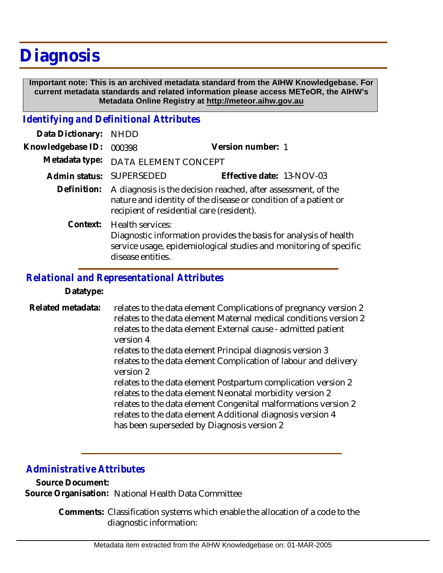# **Diagnosis**

 **Important note: This is an archived metadata standard from the AIHW Knowledgebase. For current metadata standards and related information please access METeOR, the AIHW's Metadata Online Registry at http://meteor.aihw.gov.au**

# *Identifying and Definitional Attributes*

| Data Dictionary:  | <b>NHDD</b>                                                                                                                                                                   |                                                                                                                                       |
|-------------------|-------------------------------------------------------------------------------------------------------------------------------------------------------------------------------|---------------------------------------------------------------------------------------------------------------------------------------|
| Knowledgebase ID: | 000398                                                                                                                                                                        | Version number: 1                                                                                                                     |
| Metadata type:    | DATA ELEMENT CONCEPT                                                                                                                                                          |                                                                                                                                       |
| Admin status:     | <b>SUPERSEDED</b>                                                                                                                                                             | Effective date: 13-NOV-03                                                                                                             |
| Definition:       | A diagnosis is the decision reached, after assessment, of the<br>nature and identity of the disease or condition of a patient or<br>recipient of residential care (resident). |                                                                                                                                       |
| Context:          | Health services:<br>disease entities.                                                                                                                                         | Diagnostic information provides the basis for analysis of health<br>service usage, epidemiological studies and monitoring of specific |

## *Relational and Representational Attributes*

### **Datatype:**

relates to the data element Complications of pregnancy version 2 relates to the data element Maternal medical conditions version 2 relates to the data element External cause - admitted patient version 4 relates to the data element Principal diagnosis version 3 relates to the data element Complication of labour and delivery version 2 relates to the data element Postpartum complication version 2 relates to the data element Neonatal morbidity version 2 relates to the data element Congenital malformations version 2 relates to the data element Additional diagnosis version 4 has been superseded by Diagnosis version 2 **Related metadata:**

# *Administrative Attributes*

**Source Document: Source Organisation:** National Health Data Committee

> Comments: Classification systems which enable the allocation of a code to the diagnostic information: